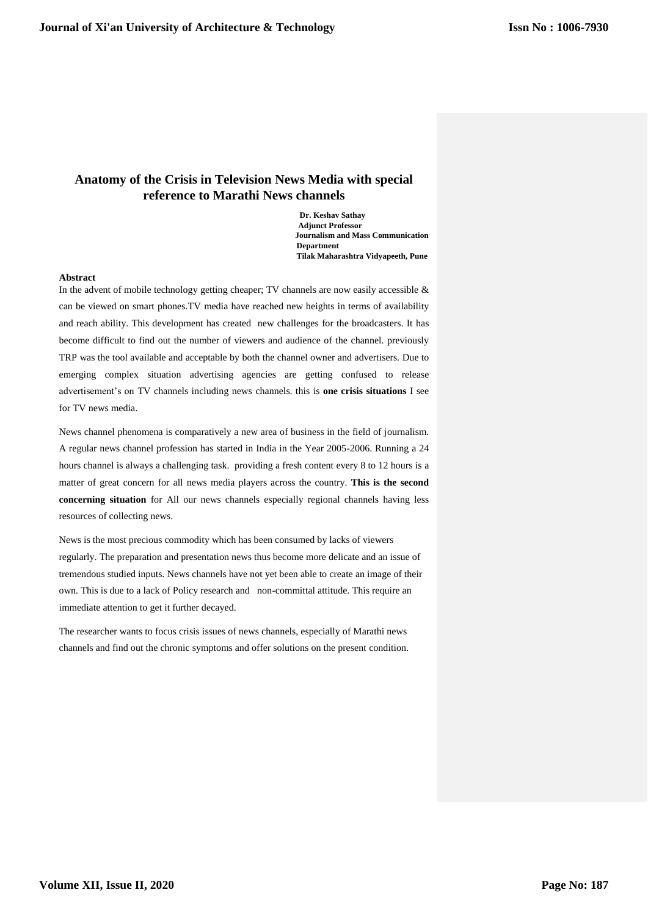# **Anatomy of the Crisis in Television News Media with special reference to Marathi News channels**

 **Dr. Keshav Sathay Adjunct Professor Journalism and Mass Communication Department Tilak Maharashtra Vidyapeeth, Pune**

# **Abstract**

In the advent of mobile technology getting cheaper; TV channels are now easily accessible  $\&$ can be viewed on smart phones.TV media have reached new heights in terms of availability and reach ability. This development has created new challenges for the broadcasters. It has become difficult to find out the number of viewers and audience of the channel. previously TRP was the tool available and acceptable by both the channel owner and advertisers. Due to emerging complex situation advertising agencies are getting confused to release advertisement's on TV channels including news channels. this is **one crisis situations** I see for TV news media.

News channel phenomena is comparatively a new area of business in the field of journalism. A regular news channel profession has started in India in the Year 2005-2006. Running a 24 hours channel is always a challenging task. providing a fresh content every 8 to 12 hours is a matter of great concern for all news media players across the country. **This is the second concerning situation** for All our news channels especially regional channels having less resources of collecting news.

News is the most precious commodity which has been consumed by lacks of viewers regularly. The preparation and presentation news thus become more delicate and an issue of tremendous studied inputs. News channels have not yet been able to create an image of their own. This is due to a lack of Policy research and non-committal attitude. This require an immediate attention to get it further decayed.

The researcher wants to focus crisis issues of news channels, especially of Marathi news channels and find out the chronic symptoms and offer solutions on the present condition.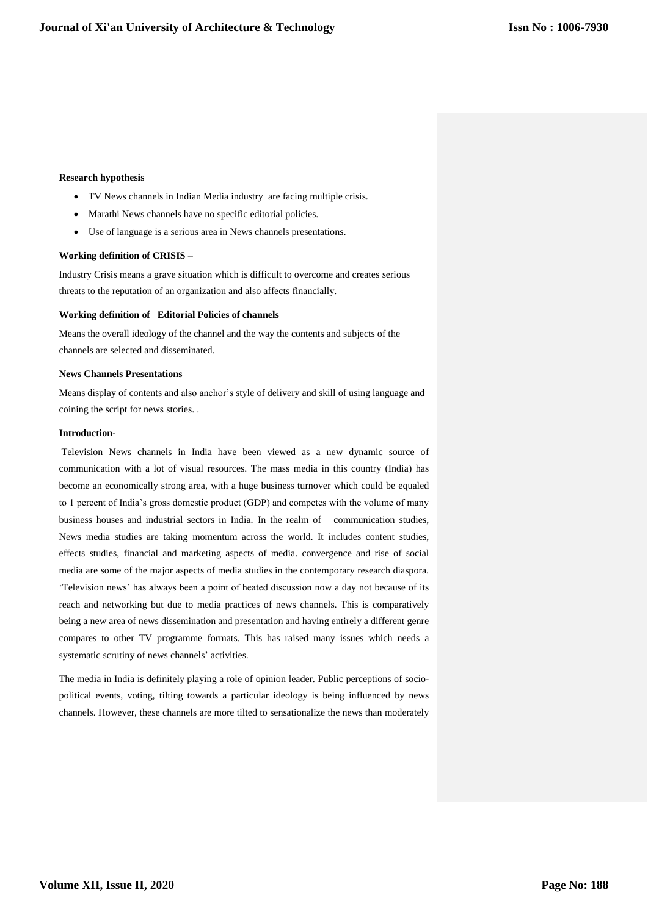# **Research hypothesis**

- TV News channels in Indian Media industry are facing multiple crisis.
- Marathi News channels have no specific editorial policies.
- Use of language is a serious area in News channels presentations.

## **Working definition of CRISIS** –

Industry Crisis means a grave situation which is difficult to overcome and creates serious threats to the reputation of an organization and also affects financially.

# **Working definition of Editorial Policies of channels**

Means the overall ideology of the channel and the way the contents and subjects of the channels are selected and disseminated.

# **News Channels Presentations**

Means display of contents and also anchor's style of delivery and skill of using language and coining the script for news stories. .

# **Introduction-**

Television News channels in India have been viewed as a new dynamic source of communication with a lot of visual resources. The mass media in this country (India) has become an economically strong area, with a huge business turnover which could be equaled to 1 percent of India's gross domestic product (GDP) and competes with the volume of many business houses and industrial sectors in India. In the realm of communication studies, News media studies are taking momentum across the world. It includes content studies, effects studies, financial and marketing aspects of media. convergence and rise of social media are some of the major aspects of media studies in the contemporary research diaspora. 'Television news' has always been a point of heated discussion now a day not because of its reach and networking but due to media practices of news channels. This is comparatively being a new area of news dissemination and presentation and having entirely a different genre compares to other TV programme formats. This has raised many issues which needs a systematic scrutiny of news channels' activities.

The media in India is definitely playing a role of opinion leader. Public perceptions of sociopolitical events, voting, tilting towards a particular ideology is being influenced by news channels. However, these channels are more tilted to sensationalize the news than moderately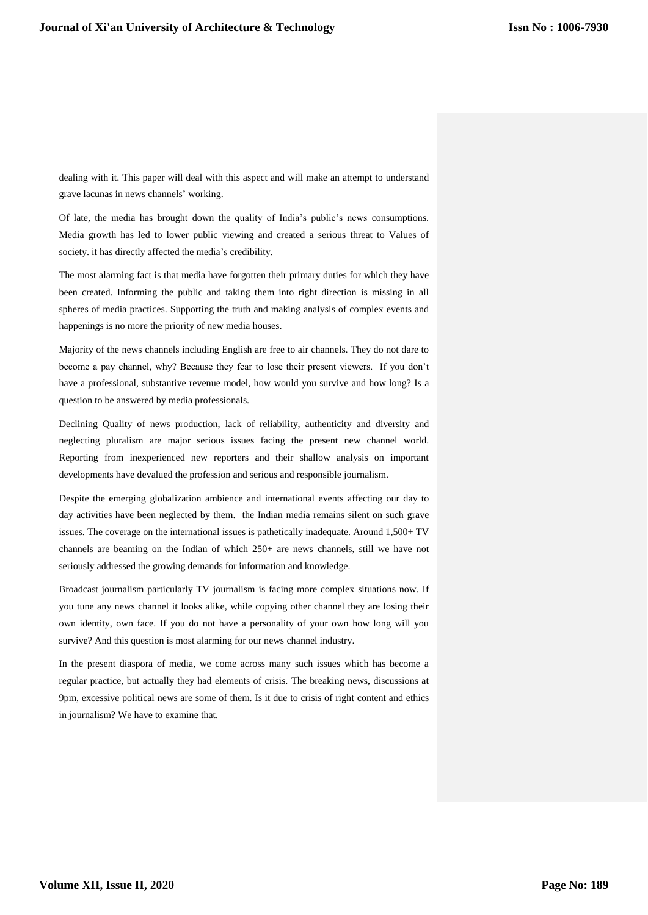dealing with it. This paper will deal with this aspect and will make an attempt to understand grave lacunas in news channels' working.

Of late, the media has brought down the quality of India's public's news consumptions. Media growth has led to lower public viewing and created a serious threat to Values of society. it has directly affected the media's credibility.

The most alarming fact is that media have forgotten their primary duties for which they have been created. Informing the public and taking them into right direction is missing in all spheres of media practices. Supporting the truth and making analysis of complex events and happenings is no more the priority of new media houses.

Majority of the news channels including English are free to air channels. They do not dare to become a pay channel, why? Because they fear to lose their present viewers. If you don't have a professional, substantive revenue model, how would you survive and how long? Is a question to be answered by media professionals.

Declining Quality of news production, lack of reliability, authenticity and diversity and neglecting pluralism are major serious issues facing the present new channel world. Reporting from inexperienced new reporters and their shallow analysis on important developments have devalued the profession and serious and responsible journalism.

Despite the emerging globalization ambience and international events affecting our day to day activities have been neglected by them. the Indian media remains silent on such grave issues. The coverage on the international issues is pathetically inadequate. Around 1,500+ TV channels are beaming on the Indian of which 250+ are news channels, still we have not seriously addressed the growing demands for information and knowledge.

Broadcast journalism particularly TV journalism is facing more complex situations now. If you tune any news channel it looks alike, while copying other channel they are losing their own identity, own face. If you do not have a personality of your own how long will you survive? And this question is most alarming for our news channel industry.

In the present diaspora of media, we come across many such issues which has become a regular practice, but actually they had elements of crisis. The breaking news, discussions at 9pm, excessive political news are some of them. Is it due to crisis of right content and ethics in journalism? We have to examine that.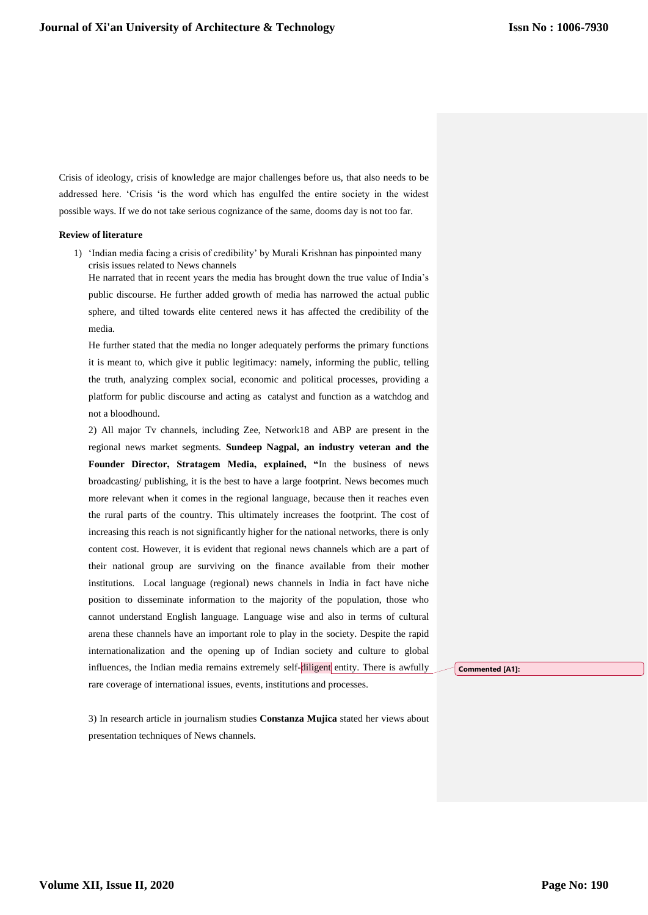Crisis of ideology, crisis of knowledge are major challenges before us, that also needs to be addressed here. 'Crisis 'is the word which has engulfed the entire society in the widest possible ways. If we do not take serious cognizance of the same, dooms day is not too far.

# **Review of literature**

1) 'Indian media facing a crisis of credibility' by Murali Krishnan has pinpointed many crisis issues related to News channels

He narrated that in recent years the media has brought down the true value of India's public discourse. He further added growth of media has narrowed the actual public sphere, and tilted towards elite centered news it has affected the credibility of the media.

He further stated that the media no longer adequately performs the primary functions it is meant to, which give it public legitimacy: namely, informing the public, telling the truth, analyzing complex social, economic and political processes, providing a platform for public discourse and acting as catalyst and function as a watchdog and not a bloodhound.

2) All major Tv channels, including Zee, Network18 and ABP are present in the regional news market segments. **Sundeep Nagpal, an industry veteran and the Founder Director, Stratagem Media, explained, "**In the business of news broadcasting/ publishing, it is the best to have a large footprint. News becomes much more relevant when it comes in the regional language, because then it reaches even the rural parts of the country. This ultimately increases the footprint. The cost of increasing this reach is not significantly higher for the national networks, there is only content cost. However, it is evident that regional news channels which are a part of their national group are surviving on the finance available from their mother institutions. Local language (regional) news channels in India in fact have niche position to disseminate information to the majority of the population, those who cannot understand English language. Language wise and also in terms of cultural arena these channels have an important role to play in the society. Despite the rapid internationalization and the opening up of Indian society and culture to global influences, the Indian media remains extremely self-diligent entity. There is awfully rare coverage of international issues, events, institutions and processes.

3) In research article in journalism studies **Constanza Mujica** stated her views about presentation techniques of News channels.

**Commented [A1]:**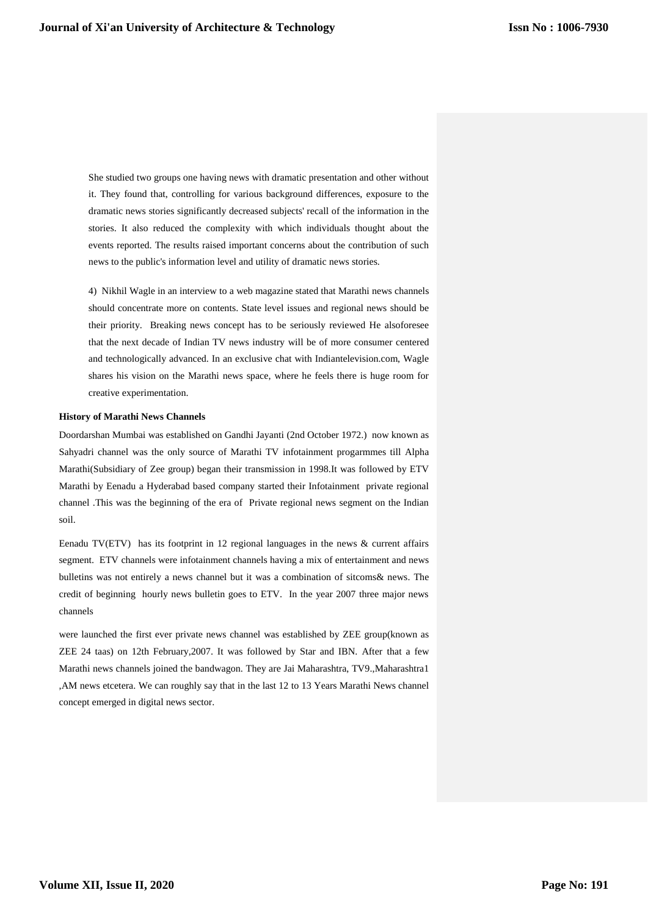She studied two groups one having news with dramatic presentation and other without it. They found that, controlling for various background differences, exposure to the dramatic news stories significantly decreased subjects' recall of the information in the stories. It also reduced the complexity with which individuals thought about the events reported. The results raised important concerns about the contribution of such news to the public's information level and utility of dramatic news stories.

4) Nikhil Wagle in an interview to a web magazine stated that Marathi news channels should concentrate more on contents. State level issues and regional news should be their priority. Breaking news concept has to be seriously reviewed He alsoforesee that the next decade of Indian TV news industry will be of more consumer centered and technologically advanced. In an exclusive chat with Indiantelevision.com, Wagle shares his vision on the Marathi news space, where he feels there is huge room for creative experimentation.

## **History of Marathi News Channels**

Doordarshan Mumbai was established on Gandhi Jayanti (2nd October 1972.) now known as Sahyadri channel was the only source of Marathi TV infotainment progarmmes till Alpha Marathi(Subsidiary of Zee group) began their transmission in 1998.It was followed by ETV Marathi by Eenadu a Hyderabad based company started their Infotainment private regional channel .This was the beginning of the era of Private regional news segment on the Indian soil.

Eenadu TV(ETV) has its footprint in 12 regional languages in the news  $&$  current affairs segment. ETV channels were infotainment channels having a mix of entertainment and news bulletins was not entirely a news channel but it was a combination of sitcoms& news. The credit of beginning hourly news bulletin goes to ETV. In the year 2007 three major news channels

were launched the first ever private news channel was established by ZEE group(known as ZEE 24 taas) on 12th February,2007. It was followed by Star and IBN. After that a few Marathi news channels joined the bandwagon. They are Jai Maharashtra, TV9.,Maharashtra1 ,AM news etcetera. We can roughly say that in the last 12 to 13 Years Marathi News channel concept emerged in digital news sector.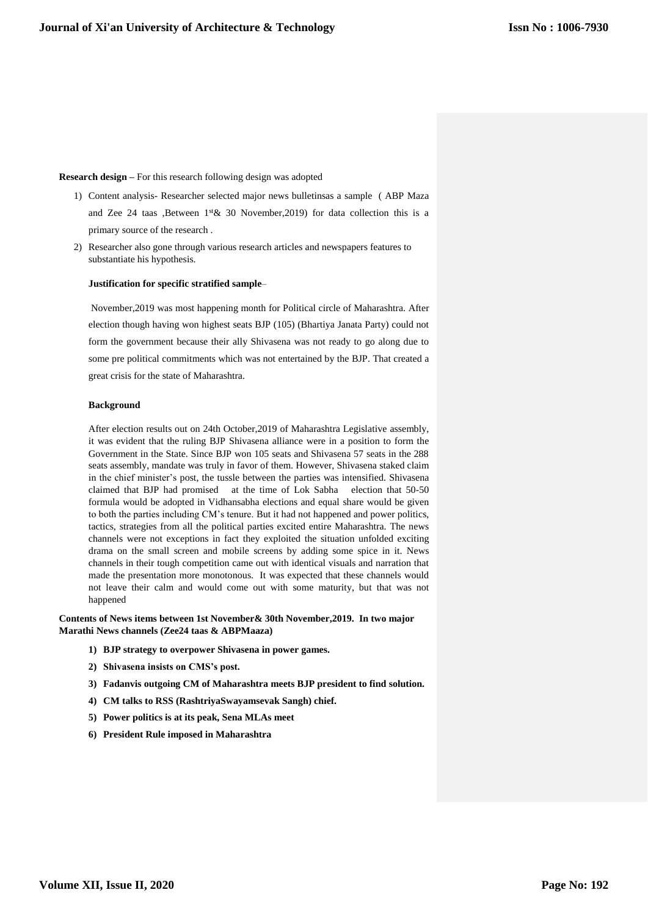# **Research design –** For this research following design was adopted

- 1) Content analysis- Researcher selected major news bulletinsas a sample ( ABP Maza and Zee 24 taas ,Between  $1$ <sup>st</sup> & 30 November, 2019) for data collection this is a primary source of the research .
- 2) Researcher also gone through various research articles and newspapers features to substantiate his hypothesis.

# **Justification for specific stratified sample**–

November,2019 was most happening month for Political circle of Maharashtra. After election though having won highest seats BJP (105) (Bhartiya Janata Party) could not form the government because their ally Shivasena was not ready to go along due to some pre political commitments which was not entertained by the BJP. That created a great crisis for the state of Maharashtra.

## **Background**

After election results out on 24th October,2019 of Maharashtra Legislative assembly, it was evident that the ruling BJP Shivasena alliance were in a position to form the Government in the State. Since BJP won 105 seats and Shivasena 57 seats in the 288 seats assembly, mandate was truly in favor of them. However, Shivasena staked claim in the chief minister's post, the tussle between the parties was intensified. Shivasena claimed that BJP had promised at the time of Lok Sabha election that 50-50 formula would be adopted in Vidhansabha elections and equal share would be given to both the parties including CM's tenure. But it had not happened and power politics, tactics, strategies from all the political parties excited entire Maharashtra. The news channels were not exceptions in fact they exploited the situation unfolded exciting drama on the small screen and mobile screens by adding some spice in it. News channels in their tough competition came out with identical visuals and narration that made the presentation more monotonous. It was expected that these channels would not leave their calm and would come out with some maturity, but that was not happened

# **Contents of News items between 1st November& 30th November,2019. In two major Marathi News channels (Zee24 taas & ABPMaaza)**

- **1) BJP strategy to overpower Shivasena in power games.**
- **2) Shivasena insists on CMS's post.**
- **3) Fadanvis outgoing CM of Maharashtra meets BJP president to find solution.**
- **4) CM talks to RSS (RashtriyaSwayamsevak Sangh) chief.**
- **5) Power politics is at its peak, Sena MLAs meet**
- **6) President Rule imposed in Maharashtra**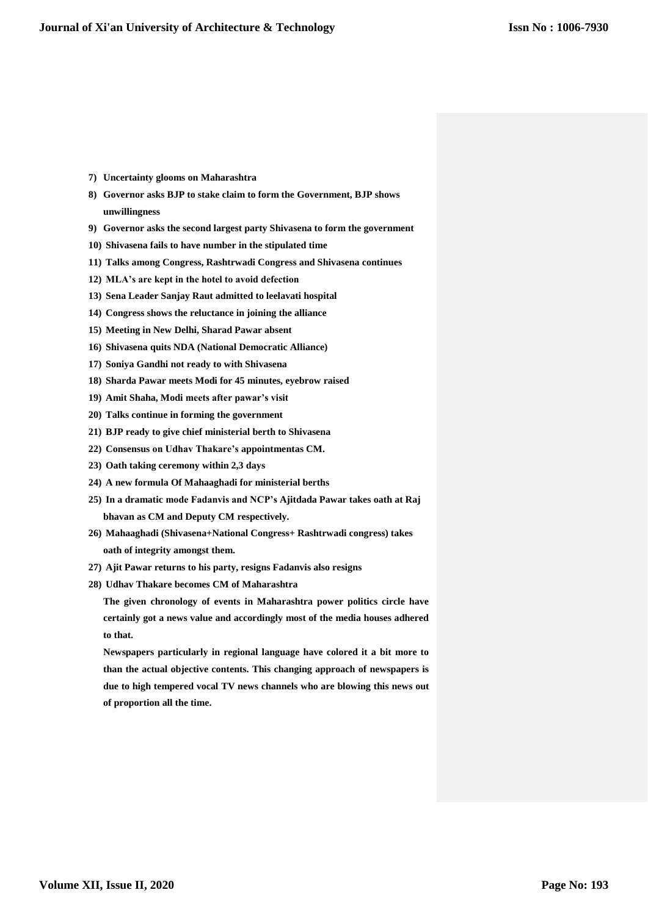- **7) Uncertainty glooms on Maharashtra**
- **8) Governor asks BJP to stake claim to form the Government, BJP shows unwillingness**
- **9) Governor asks the second largest party Shivasena to form the government**
- **10) Shivasena fails to have number in the stipulated time**
- **11) Talks among Congress, Rashtrwadi Congress and Shivasena continues**
- **12) MLA's are kept in the hotel to avoid defection**
- **13) Sena Leader Sanjay Raut admitted to leelavati hospital**
- **14) Congress shows the reluctance in joining the alliance**
- **15) Meeting in New Delhi, Sharad Pawar absent**
- **16) Shivasena quits NDA (National Democratic Alliance)**
- **17) Soniya Gandhi not ready to with Shivasena**
- **18) Sharda Pawar meets Modi for 45 minutes, eyebrow raised**
- **19) Amit Shaha, Modi meets after pawar's visit**
- **20) Talks continue in forming the government**
- **21) BJP ready to give chief ministerial berth to Shivasena**
- **22) Consensus on Udhav Thakare's appointmentas CM.**
- **23) Oath taking ceremony within 2,3 days**
- **24) A new formula Of Mahaaghadi for ministerial berths**
- **25) In a dramatic mode Fadanvis and NCP's Ajitdada Pawar takes oath at Raj bhavan as CM and Deputy CM respectively.**
- **26) Mahaaghadi (Shivasena+National Congress+ Rashtrwadi congress) takes oath of integrity amongst them.**
- **27) Ajit Pawar returns to his party, resigns Fadanvis also resigns**
- **28) Udhav Thakare becomes CM of Maharashtra**

**The given chronology of events in Maharashtra power politics circle have certainly got a news value and accordingly most of the media houses adhered to that.** 

**Newspapers particularly in regional language have colored it a bit more to than the actual objective contents. This changing approach of newspapers is due to high tempered vocal TV news channels who are blowing this news out of proportion all the time.**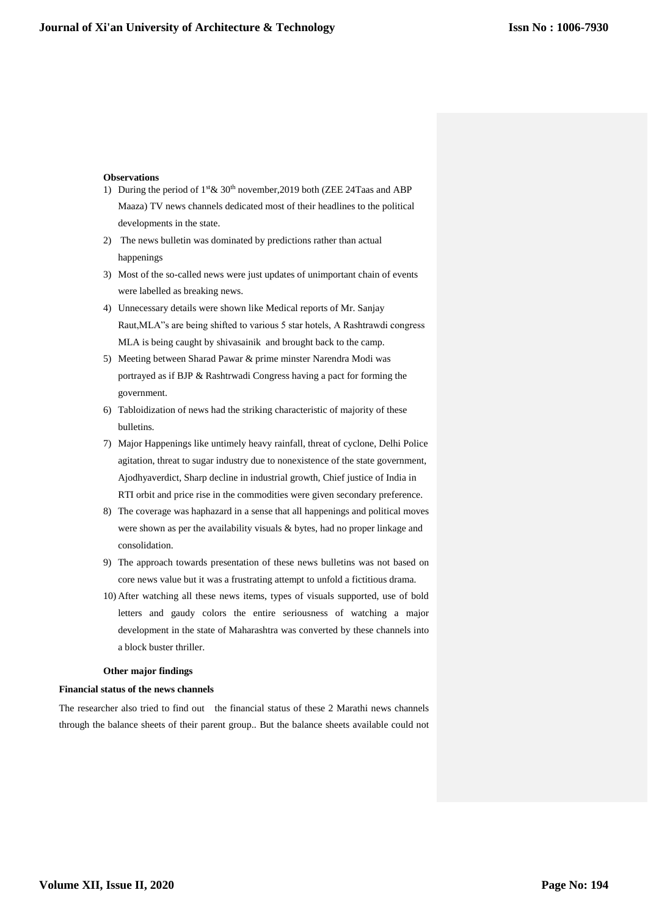## **Observations**

- 1) During the period of  $1$ <sup>st</sup> &  $30<sup>th</sup>$  november, 2019 both (ZEE 24Taas and ABP Maaza) TV news channels dedicated most of their headlines to the political developments in the state.
- 2) The news bulletin was dominated by predictions rather than actual happenings
- 3) Most of the so-called news were just updates of unimportant chain of events were labelled as breaking news.
- 4) Unnecessary details were shown like Medical reports of Mr. Sanjay Raut,MLA"s are being shifted to various 5 star hotels, A Rashtrawdi congress MLA is being caught by shivasainik and brought back to the camp.
- 5) Meeting between Sharad Pawar & prime minster Narendra Modi was portrayed as if BJP & Rashtrwadi Congress having a pact for forming the government.
- 6) Tabloidization of news had the striking characteristic of majority of these bulletins.
- 7) Major Happenings like untimely heavy rainfall, threat of cyclone, Delhi Police agitation, threat to sugar industry due to nonexistence of the state government, Ajodhyaverdict, Sharp decline in industrial growth, Chief justice of India in RTI orbit and price rise in the commodities were given secondary preference.
- 8) The coverage was haphazard in a sense that all happenings and political moves were shown as per the availability visuals & bytes, had no proper linkage and consolidation.
- 9) The approach towards presentation of these news bulletins was not based on core news value but it was a frustrating attempt to unfold a fictitious drama.
- 10) After watching all these news items, types of visuals supported, use of bold letters and gaudy colors the entire seriousness of watching a major development in the state of Maharashtra was converted by these channels into a block buster thriller.

# **Other major findings**

#### **Financial status of the news channels**

The researcher also tried to find out the financial status of these 2 Marathi news channels through the balance sheets of their parent group.. But the balance sheets available could not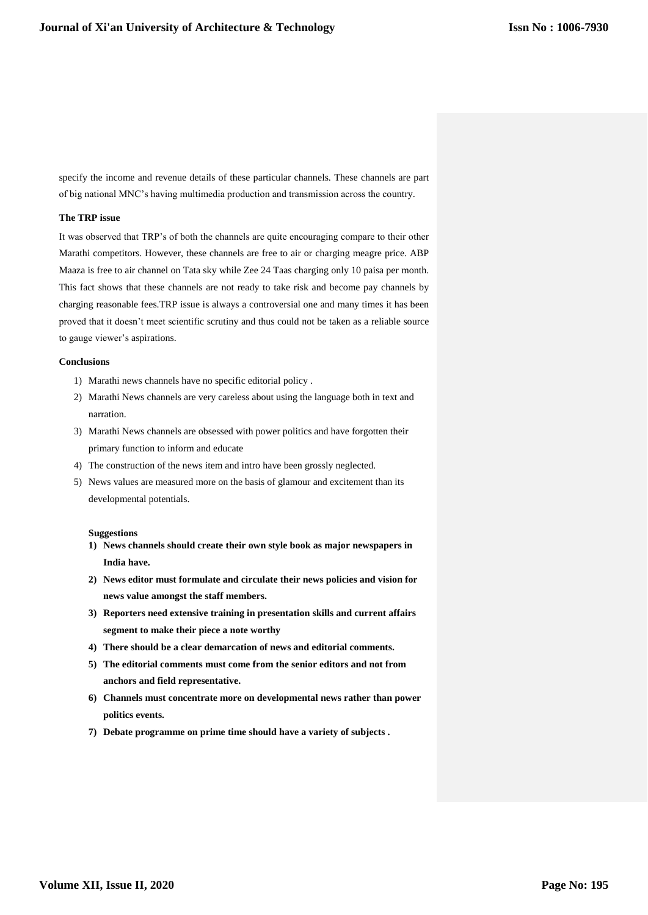specify the income and revenue details of these particular channels. These channels are part of big national MNC's having multimedia production and transmission across the country.

# **The TRP issue**

It was observed that TRP's of both the channels are quite encouraging compare to their other Marathi competitors. However, these channels are free to air or charging meagre price. ABP Maaza is free to air channel on Tata sky while Zee 24 Taas charging only 10 paisa per month. This fact shows that these channels are not ready to take risk and become pay channels by charging reasonable fees.TRP issue is always a controversial one and many times it has been proved that it doesn't meet scientific scrutiny and thus could not be taken as a reliable source to gauge viewer's aspirations.

#### **Conclusions**

- 1) Marathi news channels have no specific editorial policy .
- 2) Marathi News channels are very careless about using the language both in text and narration.
- 3) Marathi News channels are obsessed with power politics and have forgotten their primary function to inform and educate
- 4) The construction of the news item and intro have been grossly neglected.
- 5) News values are measured more on the basis of glamour and excitement than its developmental potentials.

#### **Suggestions**

- **1) News channels should create their own style book as major newspapers in India have.**
- **2) News editor must formulate and circulate their news policies and vision for news value amongst the staff members.**
- **3) Reporters need extensive training in presentation skills and current affairs segment to make their piece a note worthy**
- **4) There should be a clear demarcation of news and editorial comments.**
- **5) The editorial comments must come from the senior editors and not from anchors and field representative.**
- **6) Channels must concentrate more on developmental news rather than power politics events.**
- **7) Debate programme on prime time should have a variety of subjects .**